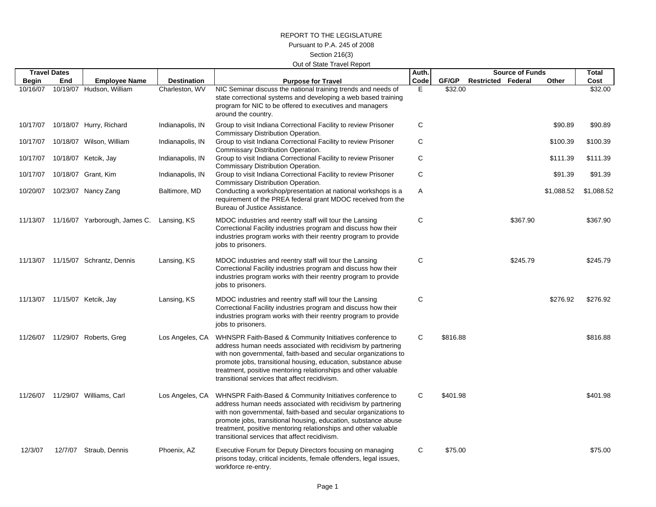## REPORT TO THE LEGISLATUREPursuant to P.A. 245 of 2008Section 216(3) Out of State Travel Report

|              | <b>Travel Dates</b> |                               |                    |                                                                                                                                                                                                                                                                                                                                                                                  | Auth.       |          |                           | <b>Source of Funds</b> |            | <b>Total</b> |
|--------------|---------------------|-------------------------------|--------------------|----------------------------------------------------------------------------------------------------------------------------------------------------------------------------------------------------------------------------------------------------------------------------------------------------------------------------------------------------------------------------------|-------------|----------|---------------------------|------------------------|------------|--------------|
| <b>Begin</b> | End                 | <b>Employee Name</b>          | <b>Destination</b> | <b>Purpose for Travel</b>                                                                                                                                                                                                                                                                                                                                                        | Code        | GF/GP    | <b>Restricted Federal</b> |                        | Other      | Cost         |
| 10/16/07     |                     | 10/19/07 Hudson, William      | Charleston, WV     | NIC Seminar discuss the national training trends and needs of<br>state correctional systems and developing a web based training<br>program for NIC to be offered to executives and managers<br>around the country.                                                                                                                                                               | Е           | \$32.00  |                           |                        |            | \$32.00      |
| 10/17/07     |                     | 10/18/07 Hurry, Richard       | Indianapolis, IN   | Group to visit Indiana Correctional Facility to review Prisoner<br>Commissary Distribution Operation.                                                                                                                                                                                                                                                                            | C           |          |                           |                        | \$90.89    | \$90.89      |
| 10/17/07     |                     | 10/18/07 Wilson, William      | Indianapolis, IN   | Group to visit Indiana Correctional Facility to review Prisoner<br>Commissary Distribution Operation.                                                                                                                                                                                                                                                                            | C           |          |                           |                        | \$100.39   | \$100.39     |
| 10/17/07     |                     | 10/18/07 Ketcik, Jay          | Indianapolis, IN   | Group to visit Indiana Correctional Facility to review Prisoner<br>Commissary Distribution Operation.                                                                                                                                                                                                                                                                            | C           |          |                           |                        | \$111.39   | \$111.39     |
| 10/17/07     |                     | 10/18/07 Grant, Kim           | Indianapolis, IN   | Group to visit Indiana Correctional Facility to review Prisoner<br>Commissary Distribution Operation.                                                                                                                                                                                                                                                                            | C           |          |                           |                        | \$91.39    | \$91.39      |
| 10/20/07     |                     | 10/23/07 Nancy Zang           | Baltimore, MD      | Conducting a workshop/presentation at national workshops is a<br>requirement of the PREA federal grant MDOC received from the<br>Bureau of Justice Assistance.                                                                                                                                                                                                                   | Α           |          |                           |                        | \$1,088.52 | \$1,088.52   |
| 11/13/07     |                     | 11/16/07 Yarborough, James C. | Lansing, KS        | MDOC industries and reentry staff will tour the Lansing<br>Correctional Facility industries program and discuss how their<br>industries program works with their reentry program to provide<br>jobs to prisoners.                                                                                                                                                                | C           |          |                           | \$367.90               |            | \$367.90     |
| 11/13/07     |                     | 11/15/07 Schrantz, Dennis     | Lansing, KS        | MDOC industries and reentry staff will tour the Lansing<br>Correctional Facility industries program and discuss how their<br>industries program works with their reentry program to provide<br>jobs to prisoners.                                                                                                                                                                | C           |          |                           | \$245.79               |            | \$245.79     |
| 11/13/07     |                     | 11/15/07 Ketcik, Jay          | Lansing, KS        | MDOC industries and reentry staff will tour the Lansing<br>Correctional Facility industries program and discuss how their<br>industries program works with their reentry program to provide<br>jobs to prisoners.                                                                                                                                                                | $\mathbf C$ |          |                           |                        | \$276.92   | \$276.92     |
| 11/26/07     |                     | 11/29/07 Roberts, Greg        | Los Angeles, CA    | WHNSPR Faith-Based & Community Initiatives conference to<br>address human needs associated with recidivism by partnering<br>with non governmental, faith-based and secular organizations to<br>promote jobs, transitional housing, education, substance abuse<br>treatment, positive mentoring relationships and other valuable<br>transitional services that affect recidivism. | C           | \$816.88 |                           |                        |            | \$816.88     |
| 11/26/07     |                     | 11/29/07 Williams, Carl       | Los Angeles, CA    | WHNSPR Faith-Based & Community Initiatives conference to<br>address human needs associated with recidivism by partnering<br>with non governmental, faith-based and secular organizations to<br>promote jobs, transitional housing, education, substance abuse<br>treatment, positive mentoring relationships and other valuable<br>transitional services that affect recidivism. | C           | \$401.98 |                           |                        |            | \$401.98     |
| 12/3/07      | 12/7/07             | Straub, Dennis                | Phoenix, AZ        | Executive Forum for Deputy Directors focusing on managing<br>prisons today, critical incidents, female offenders, legal issues,<br>workforce re-entry.                                                                                                                                                                                                                           | C           | \$75.00  |                           |                        |            | \$75.00      |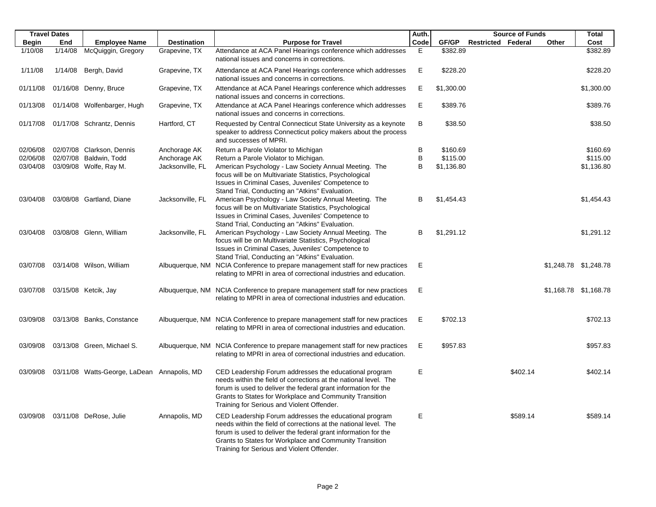|              | <b>Travel Dates</b> |                                             |                    |                                                                                                                                                                                                                                                                                                       | Auth.   |            | <b>Source of Funds</b>    |       | <b>Total</b>          |
|--------------|---------------------|---------------------------------------------|--------------------|-------------------------------------------------------------------------------------------------------------------------------------------------------------------------------------------------------------------------------------------------------------------------------------------------------|---------|------------|---------------------------|-------|-----------------------|
| <b>Begin</b> | End                 | <b>Employee Name</b>                        | <b>Destination</b> | <b>Purpose for Travel</b>                                                                                                                                                                                                                                                                             | Code    | GF/GP      | <b>Restricted Federal</b> | Other | Cost                  |
| 1/10/08      | 1/14/08             | McQuiggin, Gregory                          | Grapevine, TX      | Attendance at ACA Panel Hearings conference which addresses<br>national issues and concerns in corrections.                                                                                                                                                                                           | E       | \$382.89   |                           |       | \$382.89              |
| 1/11/08      | 1/14/08             | Bergh, David                                | Grapevine, TX      | Attendance at ACA Panel Hearings conference which addresses<br>national issues and concerns in corrections.                                                                                                                                                                                           | E       | \$228.20   |                           |       | \$228.20              |
| 01/11/08     |                     | 01/16/08 Denny, Bruce                       | Grapevine, TX      | Attendance at ACA Panel Hearings conference which addresses<br>national issues and concerns in corrections.                                                                                                                                                                                           | Е       | \$1,300.00 |                           |       | \$1,300.00            |
| 01/13/08     |                     | 01/14/08 Wolfenbarger, Hugh                 | Grapevine, TX      | Attendance at ACA Panel Hearings conference which addresses<br>national issues and concerns in corrections.                                                                                                                                                                                           | Е       | \$389.76   |                           |       | \$389.76              |
| 01/17/08     |                     | 01/17/08 Schrantz, Dennis                   | Hartford, CT       | Requested by Central Connecticut State University as a keynote<br>speaker to address Connecticut policy makers about the process<br>and successes of MPRI.                                                                                                                                            | B       | \$38.50    |                           |       | \$38.50               |
| 02/06/08     |                     | 02/07/08 Clarkson, Dennis                   | Anchorage AK       | Return a Parole Violator to Michigan                                                                                                                                                                                                                                                                  | B       | \$160.69   |                           |       | \$160.69              |
| 02/06/08     |                     | 02/07/08 Baldwin, Todd                      | Anchorage AK       | Return a Parole Violator to Michigan.                                                                                                                                                                                                                                                                 | $\sf B$ | \$115.00   |                           |       | \$115.00              |
| 03/04/08     |                     | 03/09/08 Wolfe, Ray M.                      | Jacksonville, FL   | American Psychology - Law Society Annual Meeting. The<br>focus will be on Multivariate Statistics, Psychological<br>Issues in Criminal Cases, Juveniles' Competence to<br>Stand Trial, Conducting an "Atkins" Evaluation.                                                                             | B       | \$1,136.80 |                           |       | \$1,136.80            |
| 03/04/08     |                     | 03/08/08 Gartland, Diane                    | Jacksonville, FL   | American Psychology - Law Society Annual Meeting. The<br>focus will be on Multivariate Statistics, Psychological<br>Issues in Criminal Cases, Juveniles' Competence to                                                                                                                                | в       | \$1,454.43 |                           |       | \$1,454.43            |
| 03/04/08     |                     | 03/08/08 Glenn, William                     | Jacksonville, FL   | Stand Trial, Conducting an "Atkins" Evaluation.<br>American Psychology - Law Society Annual Meeting. The<br>focus will be on Multivariate Statistics, Psychological<br>Issues in Criminal Cases, Juveniles' Competence to                                                                             | B       | \$1,291.12 |                           |       | \$1,291.12            |
| 03/07/08     |                     | 03/14/08 Wilson, William                    |                    | Stand Trial, Conducting an "Atkins" Evaluation.<br>Albuquerque, NM NCIA Conference to prepare management staff for new practices<br>relating to MPRI in area of correctional industries and education.                                                                                                | E       |            |                           |       | \$1,248.78 \$1,248.78 |
| 03/07/08     |                     | 03/15/08 Ketcik, Jay                        |                    | Albuquerque, NM NCIA Conference to prepare management staff for new practices<br>relating to MPRI in area of correctional industries and education.                                                                                                                                                   | Е       |            |                           |       | \$1,168.78 \$1,168.78 |
| 03/09/08     |                     | 03/13/08 Banks, Constance                   |                    | Albuquerque, NM NCIA Conference to prepare management staff for new practices<br>relating to MPRI in area of correctional industries and education.                                                                                                                                                   | Е       | \$702.13   |                           |       | \$702.13              |
| 03/09/08     |                     | 03/13/08 Green, Michael S.                  |                    | Albuquerque, NM NCIA Conference to prepare management staff for new practices<br>relating to MPRI in area of correctional industries and education.                                                                                                                                                   | Е       | \$957.83   |                           |       | \$957.83              |
| 03/09/08     |                     | 03/11/08 Watts-George, LaDean Annapolis, MD |                    | CED Leadership Forum addresses the educational program<br>needs within the field of corrections at the national level. The<br>forum is used to deliver the federal grant information for the<br>Grants to States for Workplace and Community Transition<br>Training for Serious and Violent Offender. | E       |            | \$402.14                  |       | \$402.14              |
| 03/09/08     |                     | 03/11/08 DeRose, Julie                      | Annapolis, MD      | CED Leadership Forum addresses the educational program<br>needs within the field of corrections at the national level. The<br>forum is used to deliver the federal grant information for the<br>Grants to States for Workplace and Community Transition<br>Training for Serious and Violent Offender. | Ε       |            | \$589.14                  |       | \$589.14              |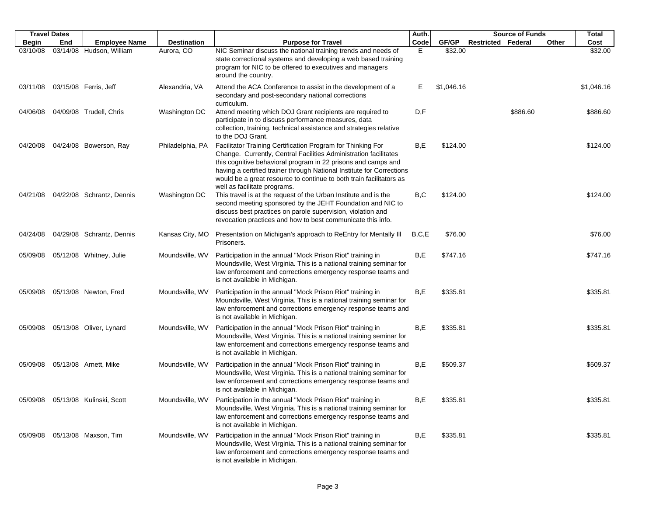| <b>Travel Dates</b> |     |                                     |                    |                                                                                                                                                                                                                                                                                                                                                                                  | Auth.   |            |                           | <b>Source of Funds</b> |       | Total      |
|---------------------|-----|-------------------------------------|--------------------|----------------------------------------------------------------------------------------------------------------------------------------------------------------------------------------------------------------------------------------------------------------------------------------------------------------------------------------------------------------------------------|---------|------------|---------------------------|------------------------|-------|------------|
| <b>Begin</b>        | End | <b>Employee Name</b>                | <b>Destination</b> | <b>Purpose for Travel</b>                                                                                                                                                                                                                                                                                                                                                        | Code    | GF/GP      | <b>Restricted Federal</b> |                        | Other | Cost       |
| 03/10/08            |     | 03/14/08 Hudson, William            | Aurora, CO         | NIC Seminar discuss the national training trends and needs of<br>state correctional systems and developing a web based training<br>program for NIC to be offered to executives and managers<br>around the country.                                                                                                                                                               | Е       | \$32.00    |                           |                        |       | \$32.00    |
| 03/11/08            |     | 03/15/08 Ferris, Jeff               | Alexandria, VA     | Attend the ACA Conference to assist in the development of a<br>secondary and post-secondary national corrections<br>curriculum.                                                                                                                                                                                                                                                  | Е       | \$1,046.16 |                           |                        |       | \$1,046.16 |
| 04/06/08            |     | 04/09/08 Trudell, Chris             | Washington DC      | Attend meeting which DOJ Grant recipients are required to<br>participate in to discuss performance measures, data<br>collection, training, technical assistance and strategies relative<br>to the DOJ Grant.                                                                                                                                                                     | D,F     |            |                           | \$886.60               |       | \$886.60   |
| 04/20/08            |     | 04/24/08 Bowerson, Ray              | Philadelphia, PA   | Facilitator Training Certification Program for Thinking For<br>Change. Currently, Central Facilities Administration facilitates<br>this cognitive behavioral program in 22 prisons and camps and<br>having a certified trainer through National Institute for Corrections<br>would be a great resource to continue to both train facilitators as<br>well as facilitate programs. | B,E     | \$124.00   |                           |                        |       | \$124.00   |
| 04/21/08            |     | 04/22/08 Schrantz, Dennis           | Washington DC      | This travel is at the request of the Urban Institute and is the<br>second meeting sponsored by the JEHT Foundation and NIC to<br>discuss best practices on parole supervision, violation and<br>revocation practices and how to best communicate this info.                                                                                                                      | B,C     | \$124.00   |                           |                        |       | \$124.00   |
| 04/24/08            |     | 04/29/08 Schrantz, Dennis           | Kansas City, MO    | Presentation on Michigan's approach to ReEntry for Mentally III<br>Prisoners.                                                                                                                                                                                                                                                                                                    | B, C, E | \$76.00    |                           |                        |       | \$76.00    |
| 05/09/08            |     | 05/12/08 Whitney, Julie             | Moundsville, WV    | Participation in the annual "Mock Prison Riot" training in<br>Moundsville, West Virginia. This is a national training seminar for<br>law enforcement and corrections emergency response teams and<br>is not available in Michigan.                                                                                                                                               | B,E     | \$747.16   |                           |                        |       | \$747.16   |
| 05/09/08            |     | 05/13/08 Newton, Fred               | Moundsville, WV    | Participation in the annual "Mock Prison Riot" training in<br>Moundsville, West Virginia. This is a national training seminar for<br>law enforcement and corrections emergency response teams and<br>is not available in Michigan.                                                                                                                                               | B,E     | \$335.81   |                           |                        |       | \$335.81   |
| 05/09/08            |     | 05/13/08 Oliver, Lynard             | Moundsville, WV    | Participation in the annual "Mock Prison Riot" training in<br>Moundsville, West Virginia. This is a national training seminar for<br>law enforcement and corrections emergency response teams and<br>is not available in Michigan.                                                                                                                                               | B,E     | \$335.81   |                           |                        |       | \$335.81   |
| 05/09/08            |     | 05/13/08 Arnett, Mike               | Moundsville, WV    | Participation in the annual "Mock Prison Riot" training in<br>Moundsville, West Virginia. This is a national training seminar for<br>law enforcement and corrections emergency response teams and<br>is not available in Michigan.                                                                                                                                               | B,E     | \$509.37   |                           |                        |       | \$509.37   |
|                     |     | 05/09/08  05/13/08  Kulinski, Scott | Moundsville, WV    | Participation in the annual "Mock Prison Riot" training in<br>Moundsville, West Virginia. This is a national training seminar for<br>law enforcement and corrections emergency response teams and<br>is not available in Michigan.                                                                                                                                               | B,E     | \$335.81   |                           |                        |       | \$335.81   |
| 05/09/08            |     | 05/13/08 Maxson, Tim                | Moundsville, WV    | Participation in the annual "Mock Prison Riot" training in<br>Moundsville, West Virginia. This is a national training seminar for<br>law enforcement and corrections emergency response teams and<br>is not available in Michigan.                                                                                                                                               | B,E     | \$335.81   |                           |                        |       | \$335.81   |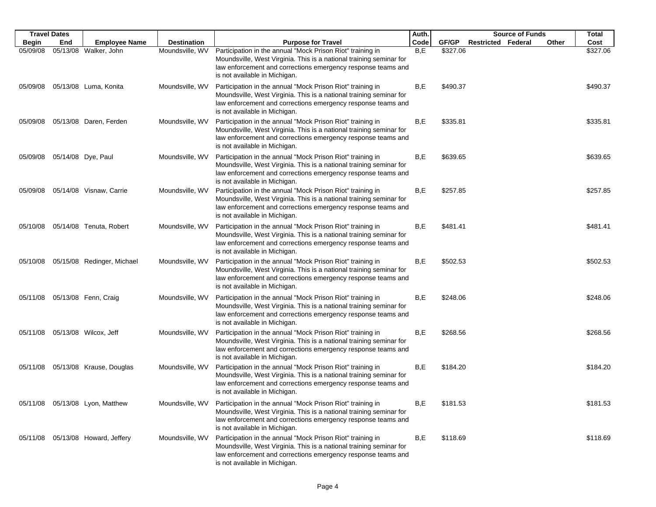|              | <b>Travel Dates</b> |                                   |                    |                                                                                                                                                                                                                                    | Auth. |          |                           | <b>Source of Funds</b> |       | Total    |
|--------------|---------------------|-----------------------------------|--------------------|------------------------------------------------------------------------------------------------------------------------------------------------------------------------------------------------------------------------------------|-------|----------|---------------------------|------------------------|-------|----------|
| <b>Begin</b> | End                 | <b>Employee Name</b>              | <b>Destination</b> | <b>Purpose for Travel</b>                                                                                                                                                                                                          | Code  | GF/GP    | <b>Restricted Federal</b> |                        | Other | Cost     |
| 05/09/08     |                     | 05/13/08 Walker, John             | Moundsville, WV    | Participation in the annual "Mock Prison Riot" training in<br>Moundsville, West Virginia. This is a national training seminar for<br>law enforcement and corrections emergency response teams and<br>is not available in Michigan. | B,E   | \$327.06 |                           |                        |       | \$327.06 |
| 05/09/08     |                     | 05/13/08 Luma, Konita             | Moundsville, WV    | Participation in the annual "Mock Prison Riot" training in<br>Moundsville, West Virginia. This is a national training seminar for<br>law enforcement and corrections emergency response teams and<br>is not available in Michigan. | B,E   | \$490.37 |                           |                        |       | \$490.37 |
| 05/09/08     |                     | 05/13/08 Daren, Ferden            | Moundsville, WV    | Participation in the annual "Mock Prison Riot" training in<br>Moundsville, West Virginia. This is a national training seminar for<br>law enforcement and corrections emergency response teams and<br>is not available in Michigan. | B,E   | \$335.81 |                           |                        |       | \$335.81 |
| 05/09/08     |                     | 05/14/08 Dye, Paul                | Moundsville, WV    | Participation in the annual "Mock Prison Riot" training in<br>Moundsville, West Virginia. This is a national training seminar for<br>law enforcement and corrections emergency response teams and<br>is not available in Michigan. | B,E   | \$639.65 |                           |                        |       | \$639.65 |
| 05/09/08     |                     | 05/14/08 Visnaw, Carrie           | Moundsville, WV    | Participation in the annual "Mock Prison Riot" training in<br>Moundsville, West Virginia. This is a national training seminar for<br>law enforcement and corrections emergency response teams and<br>is not available in Michigan. | B,E   | \$257.85 |                           |                        |       | \$257.85 |
| 05/10/08     |                     | 05/14/08 Tenuta, Robert           | Moundsville, WV    | Participation in the annual "Mock Prison Riot" training in<br>Moundsville, West Virginia. This is a national training seminar for<br>law enforcement and corrections emergency response teams and<br>is not available in Michigan. | B,E   | \$481.41 |                           |                        |       | \$481.41 |
| 05/10/08     |                     | 05/15/08 Redinger, Michael        | Moundsville, WV    | Participation in the annual "Mock Prison Riot" training in<br>Moundsville, West Virginia. This is a national training seminar for<br>law enforcement and corrections emergency response teams and<br>is not available in Michigan. | B,E   | \$502.53 |                           |                        |       | \$502.53 |
| 05/11/08     |                     | 05/13/08 Fenn, Craig              | Moundsville, WV    | Participation in the annual "Mock Prison Riot" training in<br>Moundsville, West Virginia. This is a national training seminar for<br>law enforcement and corrections emergency response teams and<br>is not available in Michigan. | B,E   | \$248.06 |                           |                        |       | \$248.06 |
| 05/11/08     |                     | 05/13/08 Wilcox, Jeff             | Moundsville, WV    | Participation in the annual "Mock Prison Riot" training in<br>Moundsville, West Virginia. This is a national training seminar for<br>law enforcement and corrections emergency response teams and<br>is not available in Michigan. | B,E   | \$268.56 |                           |                        |       | \$268.56 |
| 05/11/08     |                     | 05/13/08 Krause, Douglas          | Moundsville, WV    | Participation in the annual "Mock Prison Riot" training in<br>Moundsville, West Virginia. This is a national training seminar for<br>law enforcement and corrections emergency response teams and<br>is not available in Michigan. | B,E   | \$184.20 |                           |                        |       | \$184.20 |
|              |                     | 05/11/08 05/13/08 Lyon, Matthew   | Moundsville, WV    | Participation in the annual "Mock Prison Riot" training in<br>Moundsville, West Virginia. This is a national training seminar for<br>law enforcement and corrections emergency response teams and<br>is not available in Michigan. | B,E   | \$181.53 |                           |                        |       | \$181.53 |
|              |                     | 05/11/08 05/13/08 Howard, Jeffery | Moundsville, WV    | Participation in the annual "Mock Prison Riot" training in<br>Moundsville, West Virginia. This is a national training seminar for<br>law enforcement and corrections emergency response teams and<br>is not available in Michigan. | B,E   | \$118.69 |                           |                        |       | \$118.69 |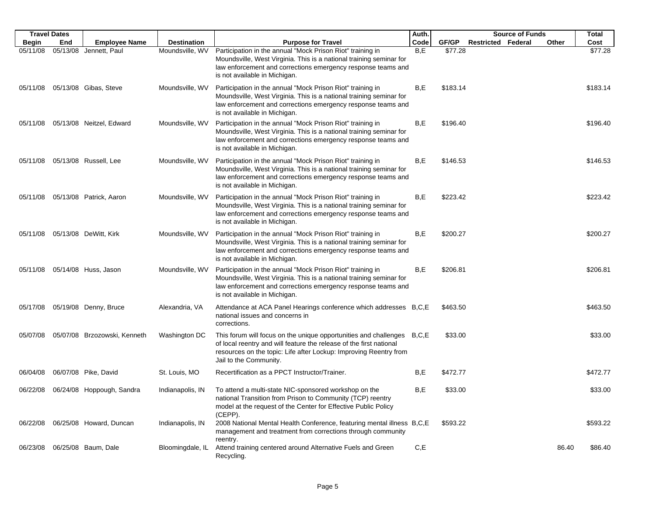|              | <b>Travel Dates</b> |                              |                    |                                                                                                                                                                                                                                              | Auth. |          |                           | <b>Source of Funds</b> |       | <b>Total</b> |
|--------------|---------------------|------------------------------|--------------------|----------------------------------------------------------------------------------------------------------------------------------------------------------------------------------------------------------------------------------------------|-------|----------|---------------------------|------------------------|-------|--------------|
| <b>Begin</b> | End                 | <b>Employee Name</b>         | <b>Destination</b> | <b>Purpose for Travel</b>                                                                                                                                                                                                                    | Code  | GF/GP    | <b>Restricted Federal</b> |                        | Other | Cost         |
| 05/11/08     |                     | 05/13/08 Jennett, Paul       | Moundsville, WV    | Participation in the annual "Mock Prison Riot" training in<br>Moundsville, West Virginia. This is a national training seminar for<br>law enforcement and corrections emergency response teams and<br>is not available in Michigan.           | B,E   | \$77.28  |                           |                        |       | \$77.28      |
| 05/11/08     |                     | 05/13/08 Gibas, Steve        | Moundsville, WV    | Participation in the annual "Mock Prison Riot" training in<br>Moundsville, West Virginia. This is a national training seminar for<br>law enforcement and corrections emergency response teams and<br>is not available in Michigan.           | B,E   | \$183.14 |                           |                        |       | \$183.14     |
| 05/11/08     |                     | 05/13/08 Neitzel, Edward     | Moundsville, WV    | Participation in the annual "Mock Prison Riot" training in<br>Moundsville, West Virginia. This is a national training seminar for<br>law enforcement and corrections emergency response teams and<br>is not available in Michigan.           | B,E   | \$196.40 |                           |                        |       | \$196.40     |
| 05/11/08     |                     | 05/13/08 Russell, Lee        | Moundsville, WV    | Participation in the annual "Mock Prison Riot" training in<br>Moundsville, West Virginia. This is a national training seminar for<br>law enforcement and corrections emergency response teams and<br>is not available in Michigan.           | B,E   | \$146.53 |                           |                        |       | \$146.53     |
| 05/11/08     |                     | 05/13/08 Patrick, Aaron      | Moundsville, WV    | Participation in the annual "Mock Prison Riot" training in<br>Moundsville, West Virginia. This is a national training seminar for<br>law enforcement and corrections emergency response teams and<br>is not available in Michigan.           | B,E   | \$223.42 |                           |                        |       | \$223.42     |
| 05/11/08     |                     | 05/13/08 DeWitt, Kirk        | Moundsville, WV    | Participation in the annual "Mock Prison Riot" training in<br>Moundsville, West Virginia. This is a national training seminar for<br>law enforcement and corrections emergency response teams and<br>is not available in Michigan.           | B,E   | \$200.27 |                           |                        |       | \$200.27     |
| 05/11/08     |                     | 05/14/08 Huss, Jason         | Moundsville, WV    | Participation in the annual "Mock Prison Riot" training in<br>Moundsville, West Virginia. This is a national training seminar for<br>law enforcement and corrections emergency response teams and<br>is not available in Michigan.           | B,E   | \$206.81 |                           |                        |       | \$206.81     |
| 05/17/08     |                     | 05/19/08 Denny, Bruce        | Alexandria, VA     | Attendance at ACA Panel Hearings conference which addresses B,C,E<br>national issues and concerns in<br>corrections.                                                                                                                         |       | \$463.50 |                           |                        |       | \$463.50     |
| 05/07/08     |                     | 05/07/08 Brzozowski, Kenneth | Washington DC      | This forum will focus on the unique opportunities and challenges B,C,E<br>of local reentry and will feature the release of the first national<br>resources on the topic: Life after Lockup: Improving Reentry from<br>Jail to the Community. |       | \$33.00  |                           |                        |       | \$33.00      |
| 06/04/08     |                     | 06/07/08 Pike, David         | St. Louis, MO      | Recertification as a PPCT Instructor/Trainer.                                                                                                                                                                                                | B,E   | \$472.77 |                           |                        |       | \$472.77     |
| 06/22/08     |                     | 06/24/08 Hoppough, Sandra    | Indianapolis, IN   | To attend a multi-state NIC-sponsored workshop on the<br>national Transition from Prison to Community (TCP) reentry<br>model at the request of the Center for Effective Public Policy<br>(CEPP).                                             | B,E   | \$33.00  |                           |                        |       | \$33.00      |
| 06/22/08     |                     | 06/25/08 Howard, Duncan      | Indianapolis, IN   | 2008 National Mental Health Conference, featuring mental illness B,C,E<br>management and treatment from corrections through community<br>reentry.                                                                                            |       | \$593.22 |                           |                        |       | \$593.22     |
| 06/23/08     |                     | 06/25/08 Baum, Dale          | Bloomingdale, IL   | Attend training centered around Alternative Fuels and Green<br>Recycling.                                                                                                                                                                    | C, E  |          |                           |                        | 86.40 | \$86.40      |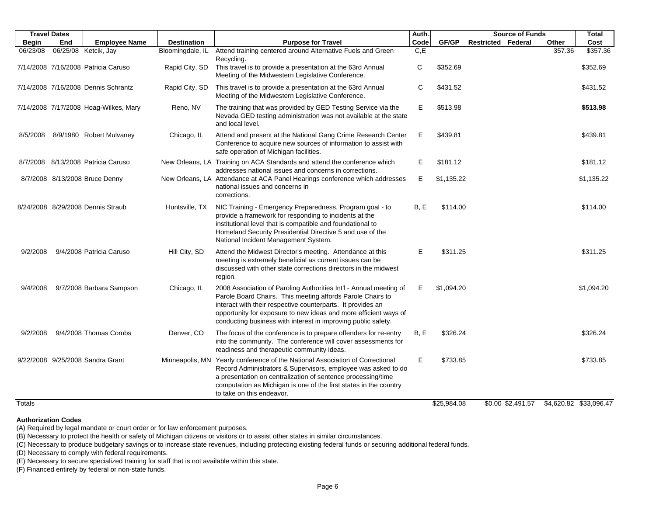|              | <b>Travel Dates</b> |                                       |                    |                                                                                                                                                                                                                                                                                                                                      | Auth. |             | <b>Source of Funds</b>    |        | Total                  |
|--------------|---------------------|---------------------------------------|--------------------|--------------------------------------------------------------------------------------------------------------------------------------------------------------------------------------------------------------------------------------------------------------------------------------------------------------------------------------|-------|-------------|---------------------------|--------|------------------------|
| <b>Begin</b> | End                 | <b>Employee Name</b>                  | <b>Destination</b> | <b>Purpose for Travel</b>                                                                                                                                                                                                                                                                                                            | Code  | GF/GP       | <b>Restricted Federal</b> | Other  | Cost                   |
| 06/23/08     |                     | 06/25/08 Ketcik, Jay                  | Bloomingdale, IL   | Attend training centered around Alternative Fuels and Green<br>Recycling.                                                                                                                                                                                                                                                            | C, E  |             |                           | 357.36 | \$357.36               |
|              |                     | 7/14/2008 7/16/2008 Patricia Caruso   | Rapid City, SD     | This travel is to provide a presentation at the 63rd Annual<br>Meeting of the Midwestern Legislative Conference.                                                                                                                                                                                                                     | C     | \$352.69    |                           |        | \$352.69               |
|              |                     | 7/14/2008 7/16/2008 Dennis Schrantz   | Rapid City, SD     | This travel is to provide a presentation at the 63rd Annual<br>Meeting of the Midwestern Legislative Conference.                                                                                                                                                                                                                     | С     | \$431.52    |                           |        | \$431.52               |
|              |                     | 7/14/2008 7/17/2008 Hoag-Wilkes, Mary | Reno, NV           | The training that was provided by GED Testing Service via the<br>Nevada GED testing administration was not available at the state<br>and local level.                                                                                                                                                                                | Е     | \$513.98    |                           |        | \$513.98               |
| 8/5/2008     |                     | 8/9/1980 Robert Mulvaney              | Chicago, IL        | Attend and present at the National Gang Crime Research Center<br>Conference to acquire new sources of information to assist with<br>safe operation of Michigan facilities.                                                                                                                                                           | Е     | \$439.81    |                           |        | \$439.81               |
| 8/7/2008     |                     | 8/13/2008 Patricia Caruso             |                    | New Orleans, LA Training on ACA Standards and attend the conference which<br>addresses national issues and concerns in corrections.                                                                                                                                                                                                  | Е     | \$181.12    |                           |        | \$181.12               |
|              |                     | 8/7/2008 8/13/2008 Bruce Denny        |                    | New Orleans, LA Attendance at ACA Panel Hearings conference which addresses<br>national issues and concerns in<br>corrections.                                                                                                                                                                                                       | Е     | \$1,135.22  |                           |        | \$1,135.22             |
|              |                     | 8/24/2008 8/29/2008 Dennis Straub     | Huntsville, TX     | NIC Training - Emergency Preparedness. Program goal - to<br>provide a framework for responding to incidents at the<br>institutional level that is compatible and foundational to<br>Homeland Security Presidential Directive 5 and use of the<br>National Incident Management System.                                                | B, E  | \$114.00    |                           |        | \$114.00               |
| 9/2/2008     |                     | 9/4/2008 Patricia Caruso              | Hill City, SD      | Attend the Midwest Director's meeting. Attendance at this<br>meeting is extremely beneficial as current issues can be<br>discussed with other state corrections directors in the midwest<br>region.                                                                                                                                  | E     | \$311.25    |                           |        | \$311.25               |
| 9/4/2008     |                     | 9/7/2008 Barbara Sampson              | Chicago, IL        | 2008 Association of Paroling Authorities Int'l - Annual meeting of<br>Parole Board Chairs. This meeting affords Parole Chairs to<br>interact with their respective counterparts. It provides an<br>opportunity for exposure to new ideas and more efficient ways of<br>conducting business with interest in improving public safety. | E     | \$1,094.20  |                           |        | \$1,094.20             |
| 9/2/2008     |                     | 9/4/2008 Thomas Combs                 | Denver, CO         | The focus of the conference is to prepare offenders for re-entry<br>into the community. The conference will cover assessments for<br>readiness and therapeutic community ideas.                                                                                                                                                      | B, E  | \$326.24    |                           |        | \$326.24               |
|              |                     | 9/22/2008 9/25/2008 Sandra Grant      |                    | Minneapolis, MN Yearly conference of the National Association of Correctional<br>Record Administrators & Supervisors, employee was asked to do<br>a presentation on centralization of sentence processing/time<br>computation as Michigan is one of the first states in the country<br>to take on this endeavor.                     | Е     | \$733.85    |                           |        | \$733.85               |
| Totals       |                     |                                       |                    |                                                                                                                                                                                                                                                                                                                                      |       | \$25,984.08 | \$0.00 \$2,491.57         |        | \$4,620.82 \$33,096.47 |

**Authorization Codes**

(A) Required by legal mandate or court order or for law enforcement purposes.

(B) Necessary to protect the health or safety of Michigan citizens or visitors or to assist other states in similar circumstances.

(C) Necessary to produce budgetary savings or to increase state revenues, including protecting existing federal funds or securing additional federal funds.

(D) Necessary to comply with federal requirements.

(E) Necessary to secure specialized training for staff that is not available within this state.

(F) Financed entirely by federal or non-state funds.